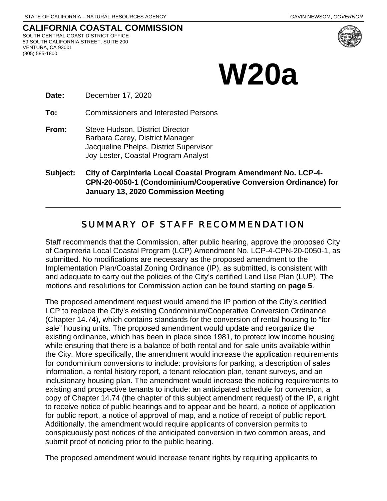#### **CALIFORNIA COASTAL COMMISSION** SOUTH CENTRAL COAST DISTRICT OFFICE 89 SOUTH CALIFORNIA STREET, SUITE 200 VENTURA, CA 93001 (805) 585-1800



# **W20a**

**Date:** December 17, 2020

**To:** Commissioners and Interested Persons

- **From:** Steve Hudson, District Director Barbara Carey, District Manager Jacqueline Phelps, District Supervisor Joy Lester, Coastal Program Analyst
- **Subject: City of Carpinteria Local Coastal Program Amendment No. LCP-4- CPN-20-0050-1 (Condominium/Cooperative Conversion Ordinance) for January 13, 2020 Commission Meeting**

#### SUMMARY OF STAFF RECOMMENDATION

Staff recommends that the Commission, after public hearing, approve the proposed City of Carpinteria Local Coastal Program (LCP) Amendment No. LCP-4-CPN-20-0050-1, as submitted. No modifications are necessary as the proposed amendment to the Implementation Plan/Coastal Zoning Ordinance (IP), as submitted, is consistent with and adequate to carry out the policies of the City's certified Land Use Plan (LUP). The motions and resolutions for Commission action can be found starting on **page 5**.

The proposed amendment request would amend the IP portion of the City's certified LCP to replace the City's existing Condominium/Cooperative Conversion Ordinance (Chapter 14.74), which contains standards for the conversion of rental housing to "forsale" housing units. The proposed amendment would update and reorganize the existing ordinance, which has been in place since 1981, to protect low income housing while ensuring that there is a balance of both rental and for-sale units available within the City. More specifically, the amendment would increase the application requirements for condominium conversions to include: provisions for parking, a description of sales information, a rental history report, a tenant relocation plan, tenant surveys, and an inclusionary housing plan. The amendment would increase the noticing requirements to existing and prospective tenants to include: an anticipated schedule for conversion, a copy of Chapter 14.74 (the chapter of this subject amendment request) of the IP, a right to receive notice of public hearings and to appear and be heard, a notice of application for public report, a notice of approval of map, and a notice of receipt of public report. Additionally, the amendment would require applicants of conversion permits to conspicuously post notices of the anticipated conversion in two common areas, and submit proof of noticing prior to the public hearing.

The proposed amendment would increase tenant rights by requiring applicants to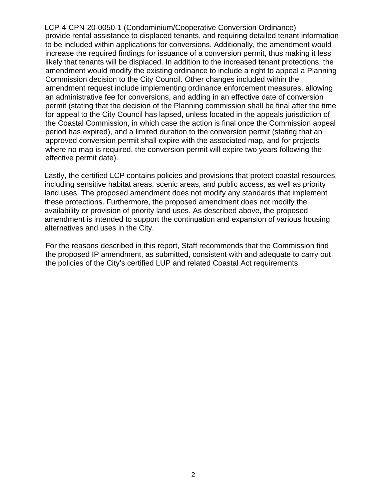LCP-4-CPN-20-0050-1 (Condominium/Cooperative Conversion Ordinance) provide rental assistance to displaced tenants, and requiring detailed tenant information to be included within applications for conversions. Additionally, the amendment would increase the required findings for issuance of a conversion permit, thus making it less likely that tenants will be displaced. In addition to the increased tenant protections, the amendment would modify the existing ordinance to include a right to appeal a Planning Commission decision to the City Council. Other changes included within the amendment request include implementing ordinance enforcement measures, allowing an administrative fee for conversions, and adding in an effective date of conversion permit (stating that the decision of the Planning commission shall be final after the time for appeal to the City Council has lapsed, unless located in the appeals jurisdiction of the Coastal Commission, in which case the action is final once the Commission appeal period has expired), and a limited duration to the conversion permit (stating that an approved conversion permit shall expire with the associated map, and for projects where no map is required, the conversion permit will expire two years following the effective permit date).

Lastly, the certified LCP contains policies and provisions that protect coastal resources, including sensitive habitat areas, scenic areas, and public access, as well as priority land uses. The proposed amendment does not modify any standards that implement these protections. Furthermore, the proposed amendment does not modify the availability or provision of priority land uses. As described above, the proposed amendment is intended to support the continuation and expansion of various housing alternatives and uses in the City.

For the reasons described in this report, Staff recommends that the Commission find the proposed IP amendment, as submitted, consistent with and adequate to carry out the policies of the City's certified LUP and related Coastal Act requirements.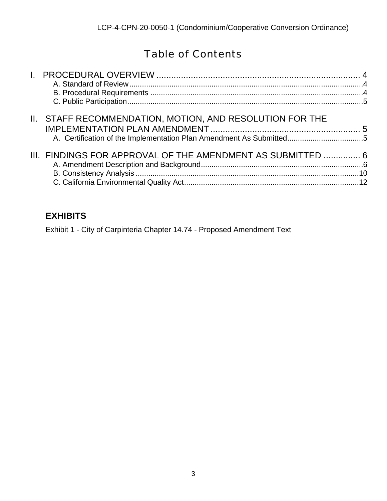## Table of Contents

| II. STAFF RECOMMENDATION, MOTION, AND RESOLUTION FOR THE<br>A. Certification of the Implementation Plan Amendment As Submitted5 |  |
|---------------------------------------------------------------------------------------------------------------------------------|--|
| III. FINDINGS FOR APPROVAL OF THE AMENDMENT AS SUBMITTED  6                                                                     |  |

### **EXHIBITS**

Exhibit 1 - City of Carpinteria Chapter 14.74 - Proposed Amendment Text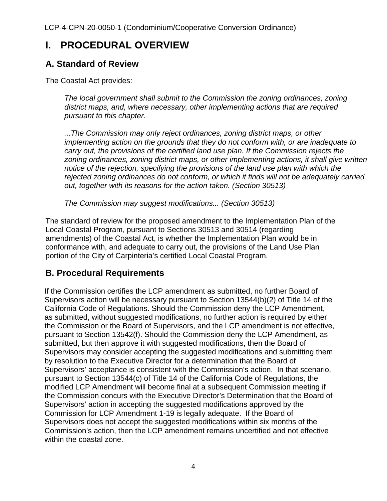## **I. PROCEDURAL OVERVIEW**

#### **A. Standard of Review**

The Coastal Act provides:

*The local government shall submit to the Commission the zoning ordinances, zoning district maps, and, where necessary, other implementing actions that are required pursuant to this chapter.* 

*...The Commission may only reject ordinances, zoning district maps, or other implementing action on the grounds that they do not conform with, or are inadequate to carry out, the provisions of the certified land use plan. If the Commission rejects the zoning ordinances, zoning district maps, or other implementing actions, it shall give written notice of the rejection, specifying the provisions of the land use plan with which the rejected zoning ordinances do not conform, or which it finds will not be adequately carried out, together with its reasons for the action taken. (Section 30513)* 

*The Commission may suggest modifications... (Section 30513)* 

The standard of review for the proposed amendment to the Implementation Plan of the Local Coastal Program, pursuant to Sections 30513 and 30514 (regarding amendments) of the Coastal Act, is whether the Implementation Plan would be in conformance with, and adequate to carry out, the provisions of the Land Use Plan portion of the City of Carpinteria's certified Local Coastal Program.

### **B. Procedural Requirements**

If the Commission certifies the LCP amendment as submitted, no further Board of Supervisors action will be necessary pursuant to Section 13544(b)(2) of Title 14 of the California Code of Regulations. Should the Commission deny the LCP Amendment, as submitted, without suggested modifications, no further action is required by either the Commission or the Board of Supervisors, and the LCP amendment is not effective, pursuant to Section 13542(f). Should the Commission deny the LCP Amendment, as submitted, but then approve it with suggested modifications, then the Board of Supervisors may consider accepting the suggested modifications and submitting them by resolution to the Executive Director for a determination that the Board of Supervisors' acceptance is consistent with the Commission's action. In that scenario, pursuant to Section 13544(c) of Title 14 of the California Code of Regulations, the modified LCP Amendment will become final at a subsequent Commission meeting if the Commission concurs with the Executive Director's Determination that the Board of Supervisors' action in accepting the suggested modifications approved by the Commission for LCP Amendment 1-19 is legally adequate. If the Board of Supervisors does not accept the suggested modifications within six months of the Commission's action, then the LCP amendment remains uncertified and not effective within the coastal zone.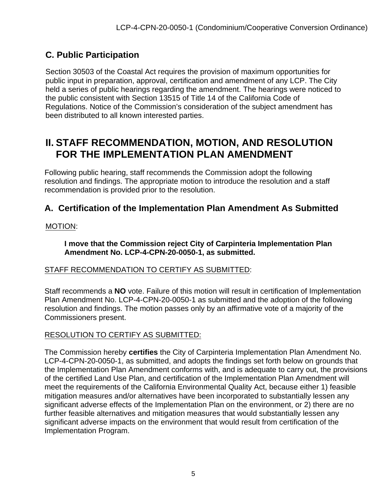## **C. Public Participation**

Section 30503 of the Coastal Act requires the provision of maximum opportunities for public input in preparation, approval, certification and amendment of any LCP. The City held a series of public hearings regarding the amendment. The hearings were noticed to the public consistent with Section 13515 of Title 14 of the California Code of Regulations. Notice of the Commission's consideration of the subject amendment has been distributed to all known interested parties.

## **II. STAFF RECOMMENDATION, MOTION, AND RESOLUTION FOR THE IMPLEMENTATION PLAN AMENDMENT**

Following public hearing, staff recommends the Commission adopt the following resolution and findings. The appropriate motion to introduce the resolution and a staff recommendation is provided prior to the resolution.

#### **A. Certification of the Implementation Plan Amendment As Submitted**

#### MOTION:

**I move that the Commission reject City of Carpinteria Implementation Plan Amendment No. LCP-4-CPN-20-0050-1, as submitted.**

#### STAFF RECOMMENDATION TO CERTIFY AS SUBMITTED:

Staff recommends a **NO** vote. Failure of this motion will result in certification of Implementation Plan Amendment No. LCP-4-CPN-20-0050-1 as submitted and the adoption of the following resolution and findings. The motion passes only by an affirmative vote of a majority of the Commissioners present.

#### RESOLUTION TO CERTIFY AS SUBMITTED:

The Commission hereby **certifies** the City of Carpinteria Implementation Plan Amendment No. LCP-4-CPN-20-0050-1, as submitted, and adopts the findings set forth below on grounds that the Implementation Plan Amendment conforms with, and is adequate to carry out, the provisions of the certified Land Use Plan, and certification of the Implementation Plan Amendment will meet the requirements of the California Environmental Quality Act, because either 1) feasible mitigation measures and/or alternatives have been incorporated to substantially lessen any significant adverse effects of the Implementation Plan on the environment, or 2) there are no further feasible alternatives and mitigation measures that would substantially lessen any significant adverse impacts on the environment that would result from certification of the Implementation Program.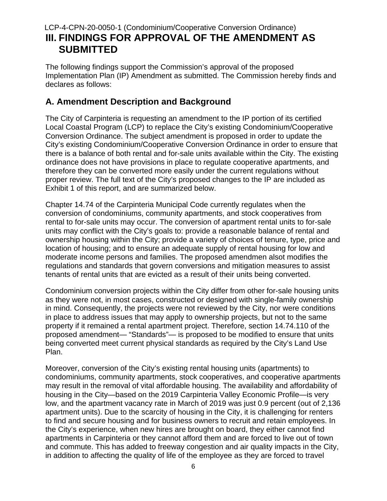#### LCP-4-CPN-20-0050-1 (Condominium/Cooperative Conversion Ordinance) **III. FINDINGS FOR APPROVAL OF THE AMENDMENT AS SUBMITTED**

The following findings support the Commission's approval of the proposed Implementation Plan (IP) Amendment as submitted. The Commission hereby finds and declares as follows:

#### **A. Amendment Description and Background**

The City of Carpinteria is requesting an amendment to the IP portion of its certified Local Coastal Program (LCP) to replace the City's existing Condominium/Cooperative Conversion Ordinance. The subject amendment is proposed in order to update the City's existing Condominium/Cooperative Conversion Ordinance in order to ensure that there is a balance of both rental and for-sale units available within the City. The existing ordinance does not have provisions in place to regulate cooperative apartments, and therefore they can be converted more easily under the current regulations without proper review. The full text of the City's proposed changes to the IP are included as Exhibit 1 of this report, and are summarized below.

Chapter 14.74 of the Carpinteria Municipal Code currently regulates when the conversion of condominiums, community apartments, and stock cooperatives from rental to for-sale units may occur. The conversion of apartment rental units to for-sale units may conflict with the City's goals to: provide a reasonable balance of rental and ownership housing within the City; provide a variety of choices of tenure, type, price and location of housing; and to ensure an adequate supply of rental housing for low and moderate income persons and families. The proposed amendmen alsot modifies the regulations and standards that govern conversions and mitigation measures to assist tenants of rental units that are evicted as a result of their units being converted.

Condominium conversion projects within the City differ from other for-sale housing units as they were not, in most cases, constructed or designed with single-family ownership in mind. Consequently, the projects were not reviewed by the City, nor were conditions in place to address issues that may apply to ownership projects, but not to the same property if it remained a rental apartment project. Therefore, section 14.74.110 of the proposed amendment— "Standards"— is proposed to be modified to ensure that units being converted meet current physical standards as required by the City's Land Use Plan.

Moreover, conversion of the City's existing rental housing units (apartments) to condominiums, community apartments, stock cooperatives, and cooperative apartments may result in the removal of vital affordable housing. The availability and affordability of housing in the City—based on the 2019 Carpinteria Valley Economic Profile—is very low, and the apartment vacancy rate in March of 2019 was just 0.9 percent (out of 2,136 apartment units). Due to the scarcity of housing in the City, it is challenging for renters to find and secure housing and for business owners to recruit and retain employees. In the City's experience, when new hires are brought on board, they either cannot find apartments in Carpinteria or they cannot afford them and are forced to live out of town and commute. This has added to freeway congestion and air quality impacts in the City, in addition to affecting the quality of life of the employee as they are forced to travel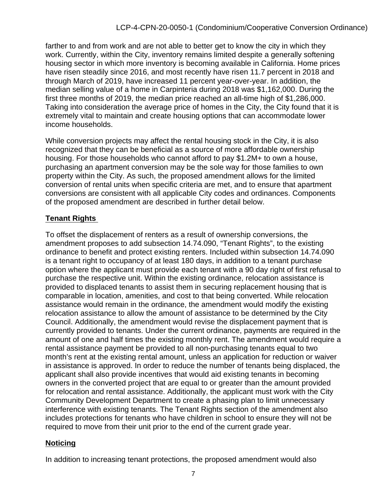farther to and from work and are not able to better get to know the city in which they work. Currently, within the City, inventory remains limited despite a generally softening housing sector in which more inventory is becoming available in California. Home prices have risen steadily since 2016, and most recently have risen 11.7 percent in 2018 and through March of 2019, have increased 11 percent year-over-year. In addition, the median selling value of a home in Carpinteria during 2018 was \$1,162,000. During the first three months of 2019, the median price reached an all-time high of \$1,286,000. Taking into consideration the average price of homes in the City, the City found that it is extremely vital to maintain and create housing options that can accommodate lower income households.

While conversion projects may affect the rental housing stock in the City, it is also recognized that they can be beneficial as a source of more affordable ownership housing. For those households who cannot afford to pay \$1.2M+ to own a house, purchasing an apartment conversion may be the sole way for those families to own property within the City. As such, the proposed amendment allows for the limited conversion of rental units when specific criteria are met, and to ensure that apartment conversions are consistent with all applicable City codes and ordinances. Components of the proposed amendment are described in further detail below.

#### **Tenant Rights**

To offset the displacement of renters as a result of ownership conversions, the amendment proposes to add subsection 14.74.090, "Tenant Rights", to the existing ordinance to benefit and protect existing renters. Included within subsection 14.74.090 is a tenant right to occupancy of at least 180 days, in addition to a tenant purchase option where the applicant must provide each tenant with a 90 day right of first refusal to purchase the respective unit. Within the existing ordinance, relocation assistance is provided to displaced tenants to assist them in securing replacement housing that is comparable in location, amenities, and cost to that being converted. While relocation assistance would remain in the ordinance, the amendment would modify the existing relocation assistance to allow the amount of assistance to be determined by the City Council. Additionally, the amendment would revise the displacement payment that is currently provided to tenants. Under the current ordinance, payments are required in the amount of one and half times the existing monthly rent. The amendment would require a rental assistance payment be provided to all non-purchasing tenants equal to two month's rent at the existing rental amount, unless an application for reduction or waiver in assistance is approved. In order to reduce the number of tenants being displaced, the applicant shall also provide incentives that would aid existing tenants in becoming owners in the converted project that are equal to or greater than the amount provided for relocation and rental assistance. Additionally, the applicant must work with the City Community Development Department to create a phasing plan to limit unnecessary interference with existing tenants. The Tenant Rights section of the amendment also includes protections for tenants who have children in school to ensure they will not be required to move from their unit prior to the end of the current grade year.

#### **Noticing**

In addition to increasing tenant protections, the proposed amendment would also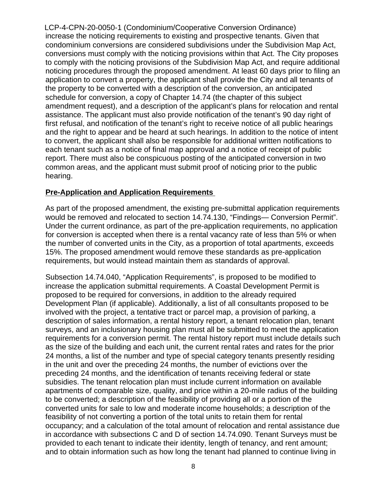LCP-4-CPN-20-0050-1 (Condominium/Cooperative Conversion Ordinance) increase the noticing requirements to existing and prospective tenants. Given that condominium conversions are considered subdivisions under the Subdivision Map Act, conversions must comply with the noticing provisions within that Act. The City proposes to comply with the noticing provisions of the Subdivision Map Act, and require additional noticing procedures through the proposed amendment. At least 60 days prior to filing an application to convert a property, the applicant shall provide the City and all tenants of the property to be converted with a description of the conversion, an anticipated schedule for conversion, a copy of Chapter 14.74 (the chapter of this subject amendment request), and a description of the applicant's plans for relocation and rental assistance. The applicant must also provide notification of the tenant's 90 day right of first refusal, and notification of the tenant's right to receive notice of all public hearings and the right to appear and be heard at such hearings. In addition to the notice of intent to convert, the applicant shall also be responsible for additional written notifications to each tenant such as a notice of final map approval and a notice of receipt of public report. There must also be conspicuous posting of the anticipated conversion in two common areas, and the applicant must submit proof of noticing prior to the public hearing.

#### **Pre-Application and Application Requirements**

As part of the proposed amendment, the existing pre-submittal application requirements would be removed and relocated to section 14.74.130, "Findings— Conversion Permit". Under the current ordinance, as part of the pre-application requirements, no application for conversion is accepted when there is a rental vacancy rate of less than 5% or when the number of converted units in the City, as a proportion of total apartments, exceeds 15%. The proposed amendment would remove these standards as pre-application requirements, but would instead maintain them as standards of approval.

Subsection 14.74.040, "Application Requirements", is proposed to be modified to increase the application submittal requirements. A Coastal Development Permit is proposed to be required for conversions, in addition to the already required Development Plan (if applicable). Additionally, a list of all consultants proposed to be involved with the project, a tentative tract or parcel map, a provision of parking, a description of sales information, a rental history report, a tenant relocation plan, tenant surveys, and an inclusionary housing plan must all be submitted to meet the application requirements for a conversion permit. The rental history report must include details such as the size of the building and each unit, the current rental rates and rates for the prior 24 months, a list of the number and type of special category tenants presently residing in the unit and over the preceding 24 months, the number of evictions over the preceding 24 months, and the identification of tenants receiving federal or state subsidies. The tenant relocation plan must include current information on available apartments of comparable size, quality, and price within a 20-mile radius of the building to be converted; a description of the feasibility of providing all or a portion of the converted units for sale to low and moderate income households; a description of the feasibility of not converting a portion of the total units to retain them for rental occupancy; and a calculation of the total amount of relocation and rental assistance due in accordance with subsections C and D of section 14.74.090. Tenant Surveys must be provided to each tenant to indicate their identity, length of tenancy, and rent amount; and to obtain information such as how long the tenant had planned to continue living in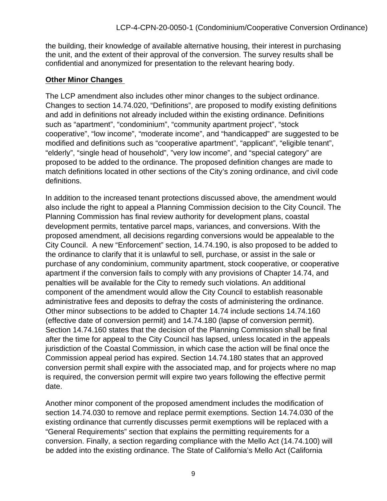the building, their knowledge of available alternative housing, their interest in purchasing the unit, and the extent of their approval of the conversion. The survey results shall be confidential and anonymized for presentation to the relevant hearing body.

#### **Other Minor Changes**

The LCP amendment also includes other minor changes to the subject ordinance. Changes to section 14.74.020, "Definitions", are proposed to modify existing definitions and add in definitions not already included within the existing ordinance. Definitions such as "apartment", "condominium", "community apartment project", "stock cooperative", "low income", "moderate income", and "handicapped" are suggested to be modified and definitions such as "cooperative apartment", "applicant", "eligible tenant", "elderly", "single head of household", "very low income", and "special category" are proposed to be added to the ordinance. The proposed definition changes are made to match definitions located in other sections of the City's zoning ordinance, and civil code definitions.

In addition to the increased tenant protections discussed above, the amendment would also include the right to appeal a Planning Commission decision to the City Council. The Planning Commission has final review authority for development plans, coastal development permits, tentative parcel maps, variances, and conversions. With the proposed amendment, all decisions regarding conversions would be appealable to the City Council. A new "Enforcement" section, 14.74.190, is also proposed to be added to the ordinance to clarify that it is unlawful to sell, purchase, or assist in the sale or purchase of any condominium, community apartment, stock cooperative, or cooperative apartment if the conversion fails to comply with any provisions of Chapter 14.74, and penalties will be available for the City to remedy such violations. An additional component of the amendment would allow the City Council to establish reasonable administrative fees and deposits to defray the costs of administering the ordinance. Other minor subsections to be added to Chapter 14.74 include sections 14.74.160 (effective date of conversion permit) and 14.74.180 (lapse of conversion permit). Section 14.74.160 states that the decision of the Planning Commission shall be final after the time for appeal to the City Council has lapsed, unless located in the appeals jurisdiction of the Coastal Commission, in which case the action will be final once the Commission appeal period has expired. Section 14.74.180 states that an approved conversion permit shall expire with the associated map, and for projects where no map is required, the conversion permit will expire two years following the effective permit date.

Another minor component of the proposed amendment includes the modification of section 14.74.030 to remove and replace permit exemptions. Section 14.74.030 of the existing ordinance that currently discusses permit exemptions will be replaced with a "General Requirements" section that explains the permitting requirements for a conversion. Finally, a section regarding compliance with the Mello Act (14.74.100) will be added into the existing ordinance. The State of California's Mello Act (California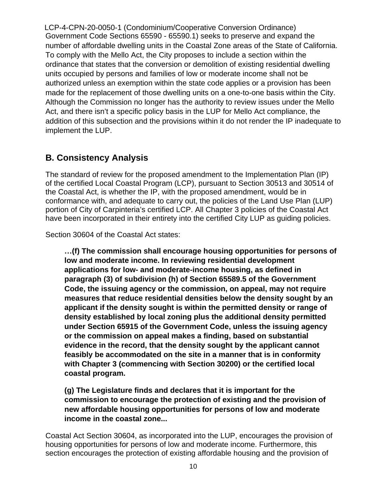LCP-4-CPN-20-0050-1 (Condominium/Cooperative Conversion Ordinance) Government Code Sections 65590 - 65590.1) seeks to preserve and expand the number of affordable dwelling units in the Coastal Zone areas of the State of California. To comply with the Mello Act, the City proposes to include a section within the ordinance that states that the conversion or demolition of existing residential dwelling units occupied by persons and families of low or moderate income shall not be authorized unless an exemption within the state code applies or a provision has been made for the replacement of those dwelling units on a one-to-one basis within the City. Although the Commission no longer has the authority to review issues under the Mello Act, and there isn't a specific policy basis in the LUP for Mello Act compliance, the addition of this subsection and the provisions within it do not render the IP inadequate to implement the LUP.

#### **B. Consistency Analysis**

The standard of review for the proposed amendment to the Implementation Plan (IP) of the certified Local Coastal Program (LCP), pursuant to Section 30513 and 30514 of the Coastal Act, is whether the IP, with the proposed amendment, would be in conformance with, and adequate to carry out, the policies of the Land Use Plan (LUP) portion of City of Carpinteria's certified LCP. All Chapter 3 policies of the Coastal Act have been incorporated in their entirety into the certified City LUP as guiding policies.

Section 30604 of the Coastal Act states:

**…(f) The commission shall encourage housing opportunities for persons of low and moderate income. In reviewing residential development applications for low- and moderate-income housing, as defined in paragraph (3) of subdivision (h) of Section 65589.5 of the Government Code, the issuing agency or the commission, on appeal, may not require measures that reduce residential densities below the density sought by an applicant if the density sought is within the permitted density or range of density established by local zoning plus the additional density permitted under Section 65915 of the Government Code, unless the issuing agency or the commission on appeal makes a finding, based on substantial evidence in the record, that the density sought by the applicant cannot feasibly be accommodated on the site in a manner that is in conformity with Chapter 3 (commencing with Section 30200) or the certified local coastal program.**

**(g) The Legislature finds and declares that it is important for the commission to encourage the protection of existing and the provision of new affordable housing opportunities for persons of low and moderate income in the coastal zone...**

Coastal Act Section 30604, as incorporated into the LUP, encourages the provision of housing opportunities for persons of low and moderate income. Furthermore, this section encourages the protection of existing affordable housing and the provision of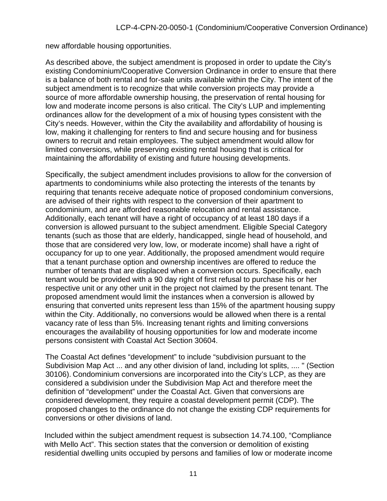new affordable housing opportunities.

As described above, the subject amendment is proposed in order to update the City's existing Condominium/Cooperative Conversion Ordinance in order to ensure that there is a balance of both rental and for-sale units available within the City. The intent of the subject amendment is to recognize that while conversion projects may provide a source of more affordable ownership housing, the preservation of rental housing for low and moderate income persons is also critical. The City's LUP and implementing ordinances allow for the development of a mix of housing types consistent with the City's needs. However, within the City the availability and affordability of housing is low, making it challenging for renters to find and secure housing and for business owners to recruit and retain employees. The subject amendment would allow for limited conversions, while preserving existing rental housing that is critical for maintaining the affordability of existing and future housing developments.

Specifically, the subject amendment includes provisions to allow for the conversion of apartments to condominiums while also protecting the interests of the tenants by requiring that tenants receive adequate notice of proposed condominium conversions, are advised of their rights with respect to the conversion of their apartment to condominium, and are afforded reasonable relocation and rental assistance. Additionally, each tenant will have a right of occupancy of at least 180 days if a conversion is allowed pursuant to the subject amendment. Eligible Special Category tenants (such as those that are elderly, handicapped, single head of household, and those that are considered very low, low, or moderate income) shall have a right of occupancy for up to one year. Additionally, the proposed amendment would require that a tenant purchase option and ownership incentives are offered to reduce the number of tenants that are displaced when a conversion occurs. Specifically, each tenant would be provided with a 90 day right of first refusal to purchase his or her respective unit or any other unit in the project not claimed by the present tenant. The proposed amendment would limit the instances when a conversion is allowed by ensuring that converted units represent less than 15% of the apartment housing suppy within the City. Additionally, no conversions would be allowed when there is a rental vacancy rate of less than 5%. Increasing tenant rights and limiting conversions encourages the availability of housing opportunities for low and moderate income persons consistent with Coastal Act Section 30604.

The Coastal Act defines "development" to include "subdivision pursuant to the Subdivision Map Act ... and any other division of land, including lot splits, .... " (Section 30106). Condominium conversions are incorporated into the City's LCP, as they are considered a subdivision under the Subdivision Map Act and therefore meet the definition of "development" under the Coastal Act. Given that conversions are considered development, they require a coastal development permit (CDP). The proposed changes to the ordinance do not change the existing CDP requirements for conversions or other divisions of land.

Included within the subject amendment request is subsection 14.74.100, "Compliance with Mello Act". This section states that the conversion or demolition of existing residential dwelling units occupied by persons and families of low or moderate income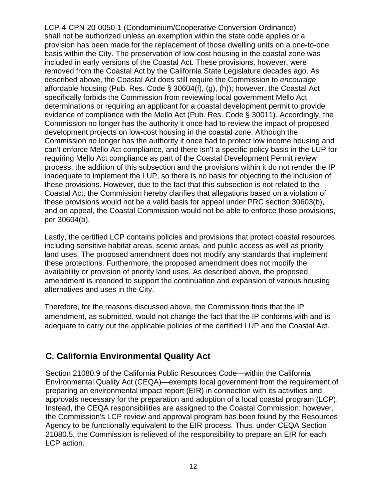LCP-4-CPN-20-0050-1 (Condominium/Cooperative Conversion Ordinance) shall not be authorized unless an exemption within the state code applies or a provision has been made for the replacement of those dwelling units on a one-to-one basis within the City. The preservation of low-cost housing in the coastal zone was included in early versions of the Coastal Act. These provisions, however, were removed from the Coastal Act by the California State Legislature decades ago. As described above, the Coastal Act does still require the Commission to *encourage*  affordable housing (Pub. Res. Code § 30604(f), (g), (h)); however, the Coastal Act specifically forbids the Commission from reviewing local government Mello Act determinations or requiring an applicant for a coastal development permit to provide evidence of compliance with the Mello Act (Pub. Res. Code § 30011). Accordingly, the Commission no longer has the authority it once had to review the impact of proposed development projects on low-cost housing in the coastal zone. Although the Commission no longer has the authority it once had to protect low income housing and can't enforce Mello Act compliance, and there isn't a specific policy basis in the LUP for requiring Mello Act compliance as part of the Coastal Development Permit review process, the addition of this subsection and the provisions within it do not render the IP inadequate to implement the LUP, so there is no basis for objecting to the inclusion of these provisions. However, due to the fact that this subsection is not related to the Coastal Act, the Commission hereby clarifies that allegations based on a violation of these provisions would not be a valid basis for appeal under PRC section 30603(b), and on appeal, the Coastal Commission would not be able to enforce those provisions, per 30604(b).

Lastly, the certified LCP contains policies and provisions that protect coastal resources, including sensitive habitat areas, scenic areas, and public access as well as priority land uses. The proposed amendment does not modify any standards that implement these protections. Furthermore, the proposed amendment does not modify the availability or provision of priority land uses. As described above, the proposed amendment is intended to support the continuation and expansion of various housing alternatives and uses in the City.

Therefore, for the reasons discussed above, the Commission finds that the IP amendment, as submitted, would not change the fact that the IP conforms with and is adequate to carry out the applicable policies of the certified LUP and the Coastal Act.

#### **C. California Environmental Quality Act**

Section 21080.9 of the California Public Resources Code—within the California Environmental Quality Act (CEQA)—exempts local government from the requirement of preparing an environmental impact report (EIR) in connection with its activities and approvals necessary for the preparation and adoption of a local coastal program (LCP). Instead, the CEQA responsibilities are assigned to the Coastal Commission; however, the Commission's LCP review and approval program has been found by the Resources Agency to be functionally equivalent to the EIR process. Thus, under CEQA Section 21080.5, the Commission is relieved of the responsibility to prepare an EIR for each LCP action.